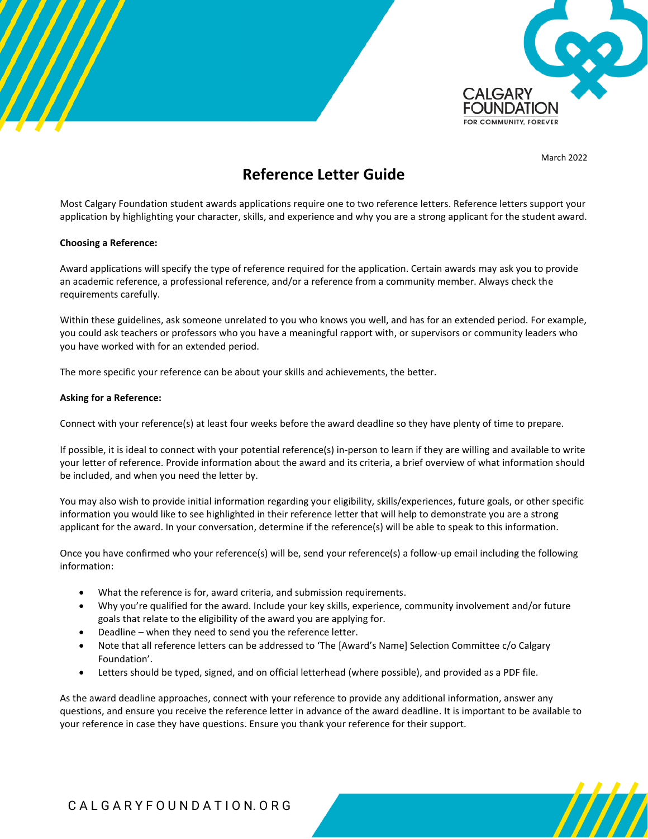

March 2022

/////

# **Reference Letter Guide**

Most Calgary Foundation student awards applications require one to two reference letters. Reference letters support your application by highlighting your character, skills, and experience and why you are a strong applicant for the student award.

## **Choosing a Reference:**

Award applications will specify the type of reference required for the application. Certain awards may ask you to provide an academic reference, a professional reference, and/or a reference from a community member. Always check the requirements carefully.

Within these guidelines, ask someone unrelated to you who knows you well, and has for an extended period. For example, you could ask teachers or professors who you have a meaningful rapport with, or supervisors or community leaders who you have worked with for an extended period.

The more specific your reference can be about your skills and achievements, the better.

## **Asking for a Reference:**

Connect with your reference(s) at least four weeks before the award deadline so they have plenty of time to prepare.

If possible, it is ideal to connect with your potential reference(s) in-person to learn if they are willing and available to write your letter of reference. Provide information about the award and its criteria, a brief overview of what information should be included, and when you need the letter by.

You may also wish to provide initial information regarding your eligibility, skills/experiences, future goals, or other specific information you would like to see highlighted in their reference letter that will help to demonstrate you are a strong applicant for the award. In your conversation, determine if the reference(s) will be able to speak to this information.

Once you have confirmed who your reference(s) will be, send your reference(s) a follow-up email including the following information:

- What the reference is for, award criteria, and submission requirements.
- Why you're qualified for the award. Include your key skills, experience, community involvement and/or future goals that relate to the eligibility of the award you are applying for.
- Deadline when they need to send you the reference letter.
- Note that all reference letters can be addressed to 'The [Award's Name] Selection Committee c/o Calgary Foundation'.
- Letters should be typed, signed, and on official letterhead (where possible), and provided as a PDF file.

As the award deadline approaches, connect with your reference to provide any additional information, answer any questions, and ensure you receive the reference letter in advance of the award deadline. It is important to be available to your reference in case they have questions. Ensure you thank your reference for their support.

# C A L G A R Y F O U N D A T I O N. O R G